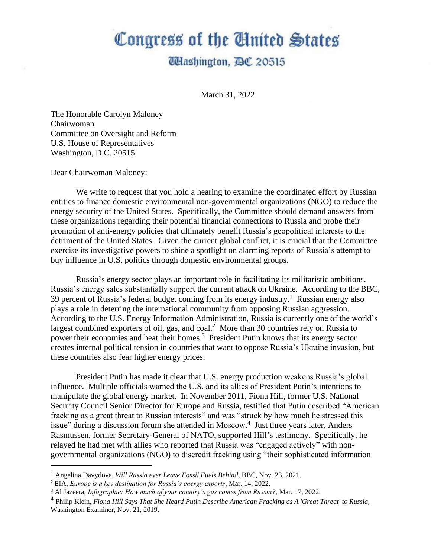## Congress of the Cluited States

## **Udashington, DC 20515**

March 31, 2022

The Honorable Carolyn Maloney Chairwoman Committee on Oversight and Reform U.S. House of Representatives Washington, D.C. 20515

Dear Chairwoman Maloney:

We write to request that you hold a hearing to examine the coordinated effort by Russian entities to finance domestic environmental non-governmental organizations (NGO) to reduce the energy security of the United States. Specifically, the Committee should demand answers from these organizations regarding their potential financial connections to Russia and probe their promotion of anti-energy policies that ultimately benefit Russia's geopolitical interests to the detriment of the United States. Given the current global conflict, it is crucial that the Committee exercise its investigative powers to shine a spotlight on alarming reports of Russia's attempt to buy influence in U.S. politics through domestic environmental groups.

Russia's energy sector plays an important role in facilitating its militaristic ambitions. Russia's energy sales substantially support the current attack on Ukraine. According to the BBC, 39 percent of Russia's federal budget coming from its energy industry. <sup>1</sup> Russian energy also plays a role in deterring the international community from opposing Russian aggression. According to the U.S. Energy Information Administration, Russia is currently one of the world's largest combined exporters of oil, gas, and coal.<sup>2</sup> More than 30 countries rely on Russia to power their economies and heat their homes. <sup>3</sup> President Putin knows that its energy sector creates internal political tension in countries that want to oppose Russia's Ukraine invasion, but these countries also fear higher energy prices.

President Putin has made it clear that U.S. energy production weakens Russia's global influence. Multiple officials warned the U.S. and its allies of President Putin's intentions to manipulate the global energy market. In November 2011, Fiona Hill, former U.S. National Security Council Senior Director for Europe and Russia, testified that Putin described "American fracking as a great threat to Russian interests" and was "struck by how much he stressed this issue" during a discussion forum she attended in Moscow.<sup>4</sup> Just three years later, Anders Rasmussen, former Secretary-General of NATO, supported Hill's testimony. Specifically, he relayed he had met with allies who reported that Russia was "engaged actively" with nongovernmental organizations (NGO) to discredit fracking using "their sophisticated information

<sup>1</sup> Angelina Davydova, *Will Russia ever Leave Fossil Fuels Behind*, BBC, Nov. 23, 2021.

<sup>2</sup> EIA, *Europe is a key destination for Russia's energy exports*, Mar. 14, 2022.

<sup>3</sup> Al Jazeera, *Infographic: How much of your country's gas comes from Russia?,* Mar. 17, 2022.

<sup>4</sup> Philip Klein, *Fiona Hill Says That She Heard Putin Describe American Fracking as A 'Great Threat' to Russia,*  Washington Examiner, Nov. 21, 2019**.**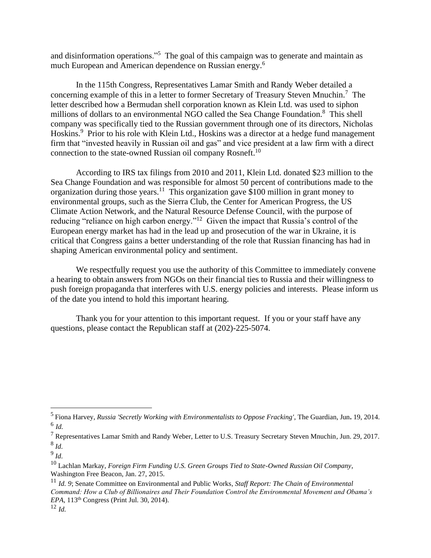and disinformation operations."<sup>5</sup> The goal of this campaign was to generate and maintain as much European and American dependence on Russian energy.<sup>6</sup>

In the 115th Congress, Representatives Lamar Smith and Randy Weber detailed a concerning example of this in a letter to former Secretary of Treasury Steven Mnuchin.<sup>7</sup> The letter described how a Bermudan shell corporation known as Klein Ltd. was used to siphon millions of dollars to an environmental NGO called the Sea Change Foundation.<sup>8</sup> This shell company was specifically tied to the Russian government through one of its directors, Nicholas Hoskins.<sup>9</sup> Prior to his role with Klein Ltd., Hoskins was a director at a hedge fund management firm that "invested heavily in Russian oil and gas" and vice president at a law firm with a direct connection to the state-owned Russian oil company Rosneft.<sup>10</sup>

According to IRS tax filings from 2010 and 2011, Klein Ltd. donated \$23 million to the Sea Change Foundation and was responsible for almost 50 percent of contributions made to the organization during those years.<sup>11</sup> This organization gave \$100 million in grant money to environmental groups, such as the Sierra Club, the Center for American Progress, the US Climate Action Network, and the Natural Resource Defense Council, with the purpose of reducing "reliance on high carbon energy."<sup>12</sup> Given the impact that Russia's control of the European energy market has had in the lead up and prosecution of the war in Ukraine, it is critical that Congress gains a better understanding of the role that Russian financing has had in shaping American environmental policy and sentiment.

We respectfully request you use the authority of this Committee to immediately convene a hearing to obtain answers from NGOs on their financial ties to Russia and their willingness to push foreign propaganda that interferes with U.S. energy policies and interests. Please inform us of the date you intend to hold this important hearing.

Thank you for your attention to this important request. If you or your staff have any questions, please contact the Republican staff at (202)-225-5074.

<sup>5</sup> Fiona Harvey, *Russia 'Secretly Working with Environmentalists to Oppose Fracking'*, The Guardian, Jun**.** 19, 2014. 6 *Id.*

<sup>7</sup> Representatives Lamar Smith and Randy Weber, Letter to U.S. Treasury Secretary Steven Mnuchin, Jun. 29, 2017. 8 *Id.*

<sup>9</sup> *Id.*

<sup>10</sup> Lachlan Markay, *Foreign Firm Funding U.S. Green Groups Tied to State-Owned Russian Oil Company*, Washington Free Beacon, Jan. 27, 2015.

<sup>11</sup> *Id. 9*; Senate Committee on Environmental and Public Works*, Staff Report: The Chain of Environmental Command: How a Club of Billionaires and Their Foundation Control the Environmental Movement and Obama's EPA*, 113<sup>th</sup> Congress (Print Jul. 30, 2014). <sup>12</sup> *Id.*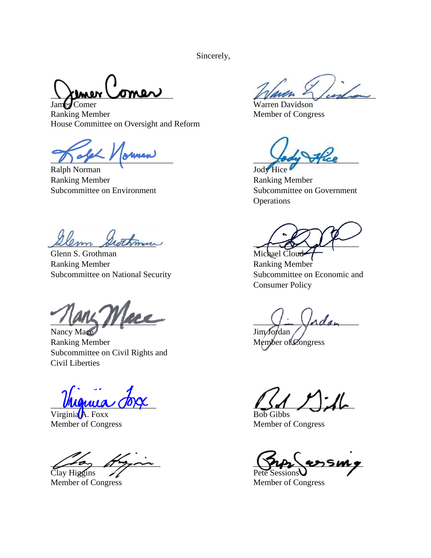Sincerely,

James Comer Warren Davidson

Ranking Member Member of Congress House Committee on Oversight and Reform

\_\_\_\_\_\_\_\_\_\_\_\_\_\_\_\_\_\_\_\_\_\_\_\_\_\_\_\_\_ \_\_\_\_\_\_\_\_\_\_\_\_\_\_\_\_\_\_\_\_\_\_\_\_\_

Ralph Norman Jody Hice Ranking Member Ranking Member Subcommittee on Environment Subcommittee on Government

 $\mathscr{A\!}\mathscr{A\!}\mathscr{A}$ 

Glenn S. Grothman Michael Cloud Ranking Member Ranking Member Subcommittee on National Security Subcommittee on Economic and

 $\frac{1}{2}$   $\frac{1}{2}$   $\frac{1}{2}$   $\frac{1}{2}$   $\frac{1}{2}$   $\frac{1}{2}$   $\frac{1}{2}$   $\frac{1}{2}$   $\frac{1}{2}$   $\frac{1}{2}$   $\frac{1}{2}$   $\frac{1}{2}$   $\frac{1}{2}$   $\frac{1}{2}$   $\frac{1}{2}$   $\frac{1}{2}$   $\frac{1}{2}$   $\frac{1}{2}$   $\frac{1}{2}$   $\frac{1}{2}$   $\frac{1}{2}$   $\frac{1}{2}$ 

Nancy Mace Jim Jordan Ranking Member Member Member of Congress Subcommittee on Civil Rights and Civil Liberties

Virginia A. Foxx Bob Gibbs<br>
Member of Congress
Bob Gibbs<br>
Member of Congress
Bob Gibbs<br>
Member of Congress
Bob Gibbs<br>
Member of Congress
Bob Gibbs<br>
Member of Congress
Bob Gibbs<br>
Member of Congress
Bob Gibbs<br>
Member of Cong

Clay Higgins  $\mathscr{A}$ 

 $\chi$  mer Comer

**Operations** 

Consumer Policy

 $\blacksquare$ 

Member of Congress

 $\mu_{\text{max}}$ 

Member of Congress Member of Congress